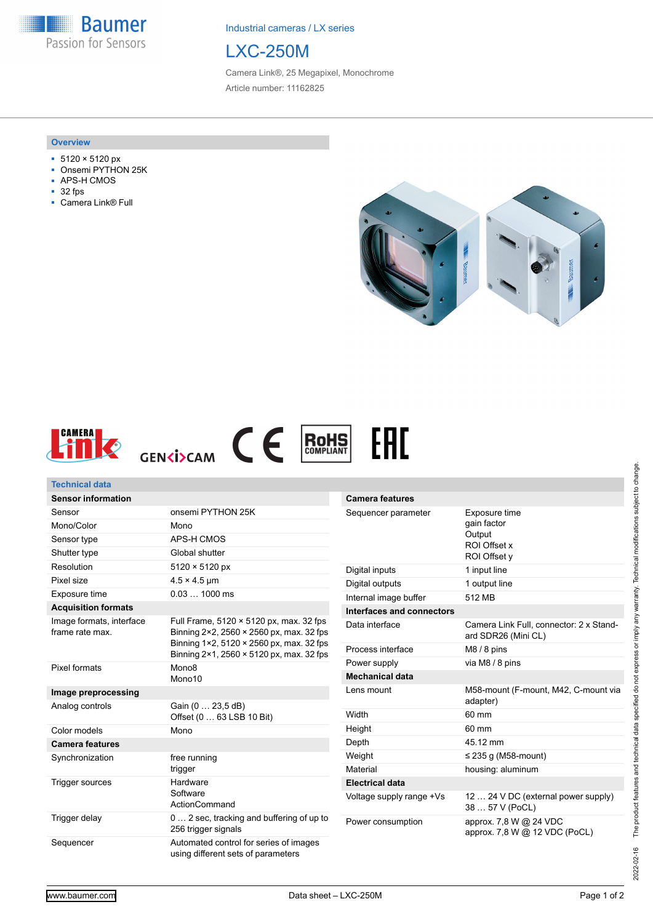**Baumer** Passion for Sensors

Industrial cameras / LX series



Camera Link®, 25 Megapixel, Monochrome Article number: 11162825

#### **Overview**

- 5120 × 5120 px
- Onsemi PYTHON 25K
- APS-H CMOS
- 32 fps
- Camera Link<sup>®</sup> Full





# **Technical data**

| <b>Sensor information</b>                  |                                                                                                                                                                             |
|--------------------------------------------|-----------------------------------------------------------------------------------------------------------------------------------------------------------------------------|
| Sensor                                     | onsemi PYTHON 25K                                                                                                                                                           |
| Mono/Color                                 | Mono                                                                                                                                                                        |
| Sensor type                                | APS-H CMOS                                                                                                                                                                  |
| Shutter type                               | Global shutter                                                                                                                                                              |
| Resolution                                 | 5120 × 5120 px                                                                                                                                                              |
| Pixel size                                 | $4.5 \times 4.5$ µm                                                                                                                                                         |
| Exposure time                              | $0.031000$ ms                                                                                                                                                               |
| <b>Acquisition formats</b>                 |                                                                                                                                                                             |
| Image formats, interface<br>frame rate max | Full Frame, 5120 × 5120 px, max. 32 fps<br>Binning 2×2, 2560 × 2560 px, max. 32 fps<br>Binning 1×2, 5120 × 2560 px, max. 32 fps<br>Binning 2×1, 2560 × 5120 px, max. 32 fps |
| Pixel formats                              | Mono <sub>8</sub><br>Mono <sub>10</sub>                                                                                                                                     |
| Image preprocessing                        |                                                                                                                                                                             |
| Analog controls                            | Gain (0  23,5 dB)<br>Offset (0  63 LSB 10 Bit)                                                                                                                              |
| Color models                               | Mono                                                                                                                                                                        |
| <b>Camera features</b>                     |                                                                                                                                                                             |
| Synchronization                            | free running<br>trigger                                                                                                                                                     |
| <b>Trigger sources</b>                     | Hardware<br>Software<br>ActionCommand                                                                                                                                       |
| Trigger delay                              | 0 2 sec, tracking and buffering of up to<br>256 trigger signals                                                                                                             |
| Sequencer                                  | Automated control for series of images<br>using different sets of parameters                                                                                                |

| <b>Camera features</b>    |                                                                        |
|---------------------------|------------------------------------------------------------------------|
| Sequencer parameter       | Exposure time<br>gain factor<br>Output<br>ROI Offset x<br>ROI Offset v |
| Digital inputs            | 1 input line                                                           |
| Digital outputs           | 1 output line                                                          |
| Internal image buffer     | 512 MB                                                                 |
| Interfaces and connectors |                                                                        |
| Data interface            | Camera Link Full, connector: 2 x Stand-<br>ard SDR26 (Mini CL)         |
| Process interface         | $M8/8$ pins                                                            |
| Power supply              | via M8 / 8 pins                                                        |
| <b>Mechanical data</b>    |                                                                        |
| Lens mount                | M58-mount (F-mount, M42, C-mount via<br>adapter)                       |
| Width                     | 60 mm                                                                  |
| Height                    | $60 \text{ mm}$                                                        |
| Depth                     | 45.12 mm                                                               |
| Weight                    | $\leq$ 235 g (M58-mount)                                               |
| Material                  | housing: aluminum                                                      |
| <b>Electrical data</b>    |                                                                        |
| Voltage supply range +Vs  | 12  24 V DC (external power supply)<br>38  57 V (PoCL)                 |
| Power consumption         | approx. 7,8 W @ 24 VDC<br>approx. 7,8 W @ 12 VDC (PoCL)                |